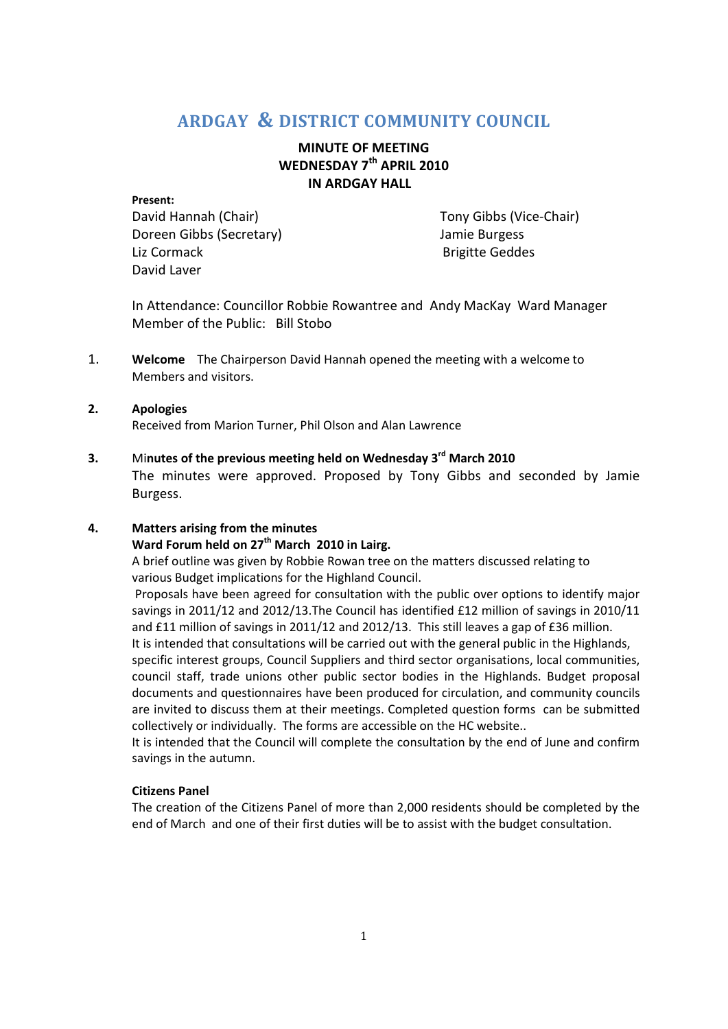# **ARDGAY & DISTRICT COMMUNITY COUNCIL**

# **MINUTE OF MEETING WEDNESDAY 7th APRIL 2010 IN ARDGAY HALL**

#### **Present:**

David Hannah (Chair) Tony Gibbs (Vice-Chair) Doreen Gibbs (Secretary) Jamie Burgess Liz Cormack **Brigitte Geddes** David Laver

In Attendance: Councillor Robbie Rowantree and Andy MacKay Ward Manager Member of the Public: Bill Stobo

1. **Welcome** The Chairperson David Hannah opened the meeting with a welcome to Members and visitors.

### **2. Apologies** Received from Marion Turner, Phil Olson and Alan Lawrence

# **3.** Mi**nutes of the previous meeting held on Wednesday 3rd March 2010**

The minutes were approved. Proposed by Tony Gibbs and seconded by Jamie Burgess.

## **4. Matters arising from the minutes**

# **Ward Forum held on 27th March 2010 in Lairg.**

A brief outline was given by Robbie Rowan tree on the matters discussed relating to various Budget implications for the Highland Council.

 Proposals have been agreed for consultation with the public over options to identify major savings in 2011/12 and 2012/13.The Council has identified £12 million of savings in 2010/11 and £11 million of savings in 2011/12 and 2012/13. This still leaves a gap of £36 million.

It is intended that consultations will be carried out with the general public in the Highlands,

specific interest groups, Council Suppliers and third sector organisations, local communities, council staff, trade unions other public sector bodies in the Highlands. Budget proposal documents and questionnaires have been produced for circulation, and community councils are invited to discuss them at their meetings. Completed question forms can be submitted collectively or individually. The forms are accessible on the HC website..

It is intended that the Council will complete the consultation by the end of June and confirm savings in the autumn.

## **Citizens Panel**

The creation of the Citizens Panel of more than 2,000 residents should be completed by the end of March and one of their first duties will be to assist with the budget consultation.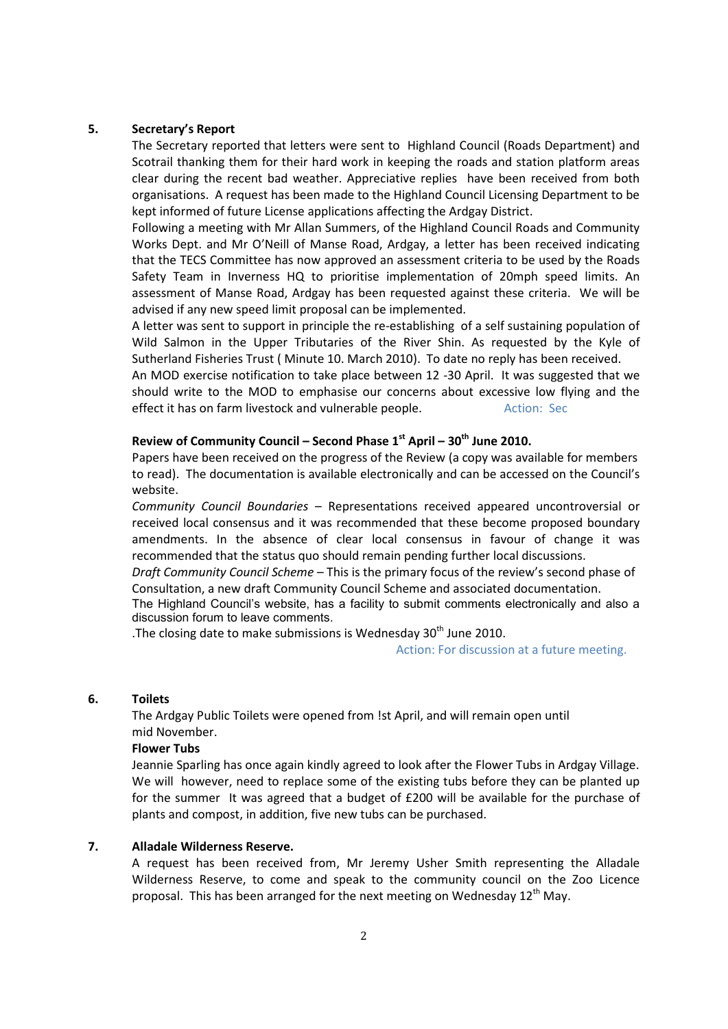### **5. Secretary's Report**

The Secretary reported that letters were sent to Highland Council (Roads Department) and Scotrail thanking them for their hard work in keeping the roads and station platform areas clear during the recent bad weather. Appreciative replies have been received from both organisations. A request has been made to the Highland Council Licensing Department to be kept informed of future License applications affecting the Ardgay District.

Following a meeting with Mr Allan Summers, of the Highland Council Roads and Community Works Dept. and Mr O'Neill of Manse Road, Ardgay, a letter has been received indicating that the TECS Committee has now approved an assessment criteria to be used by the Roads Safety Team in Inverness HQ to prioritise implementation of 20mph speed limits. An assessment of Manse Road, Ardgay has been requested against these criteria. We will be advised if any new speed limit proposal can be implemented.

A letter was sent to support in principle the re-establishing of a self sustaining population of Wild Salmon in the Upper Tributaries of the River Shin. As requested by the Kyle of Sutherland Fisheries Trust ( Minute 10. March 2010). To date no reply has been received.

An MOD exercise notification to take place between 12 -30 April. It was suggested that we should write to the MOD to emphasise our concerns about excessive low flying and the effect it has on farm livestock and vulnerable people. Action: Sec

# **Review of Community Council – Second Phase 1st April – 30th June 2010.**

Papers have been received on the progress of the Review (a copy was available for members to read). The documentation is available electronically and can be accessed on the Council's website.

*Community Council Boundaries* – Representations received appeared uncontroversial or received local consensus and it was recommended that these become proposed boundary amendments. In the absence of clear local consensus in favour of change it was recommended that the status quo should remain pending further local discussions.

*Draft Community Council Scheme* – This is the primary focus of the review's second phase of Consultation, a new draft Community Council Scheme and associated documentation.

The Highland Council's website, has a facility to submit comments electronically and also a discussion forum to leave comments.

.The closing date to make submissions is Wednesday  $30<sup>th</sup>$  June 2010.

Action: For discussion at a future meeting.

#### **6. Toilets**

The Ardgay Public Toilets were opened from !st April, and will remain open until mid November.

#### **Flower Tubs**

Jeannie Sparling has once again kindly agreed to look after the Flower Tubs in Ardgay Village. We will however, need to replace some of the existing tubs before they can be planted up for the summer It was agreed that a budget of £200 will be available for the purchase of plants and compost, in addition, five new tubs can be purchased.

#### **7. Alladale Wilderness Reserve.**

A request has been received from, Mr Jeremy Usher Smith representing the Alladale Wilderness Reserve, to come and speak to the community council on the Zoo Licence proposal. This has been arranged for the next meeting on Wednesdav  $12^{th}$  Mav.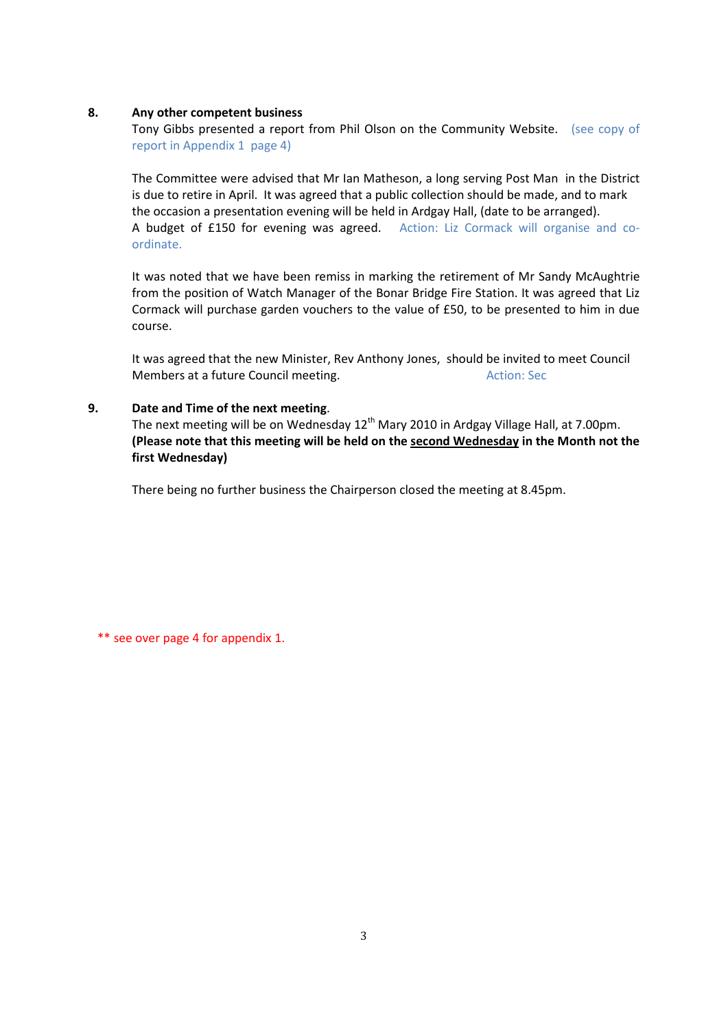#### **8. Any other competent business**

Tony Gibbs presented a report from Phil Olson on the Community Website. (see copy of report in Appendix 1 page 4)

The Committee were advised that Mr Ian Matheson, a long serving Post Man in the District is due to retire in April. It was agreed that a public collection should be made, and to mark the occasion a presentation evening will be held in Ardgay Hall, (date to be arranged). A budget of £150 for evening was agreed. Action: Liz Cormack will organise and coordinate.

It was noted that we have been remiss in marking the retirement of Mr Sandy McAughtrie from the position of Watch Manager of the Bonar Bridge Fire Station. It was agreed that Liz Cormack will purchase garden vouchers to the value of £50, to be presented to him in due course.

 It was agreed that the new Minister, Rev Anthony Jones, should be invited to meet Council Members at a future Council meeting. The matter of the Action: Sec

## **9. Date and Time of the next meeting**.

The next meeting will be on Wednesday  $12<sup>th</sup>$  Mary 2010 in Ardgay Village Hall, at 7.00pm.  **(Please note that this meeting will be held on the second Wednesday in the Month not the first Wednesday)** 

There being no further business the Chairperson closed the meeting at 8.45pm.

\*\* see over page 4 for appendix 1.